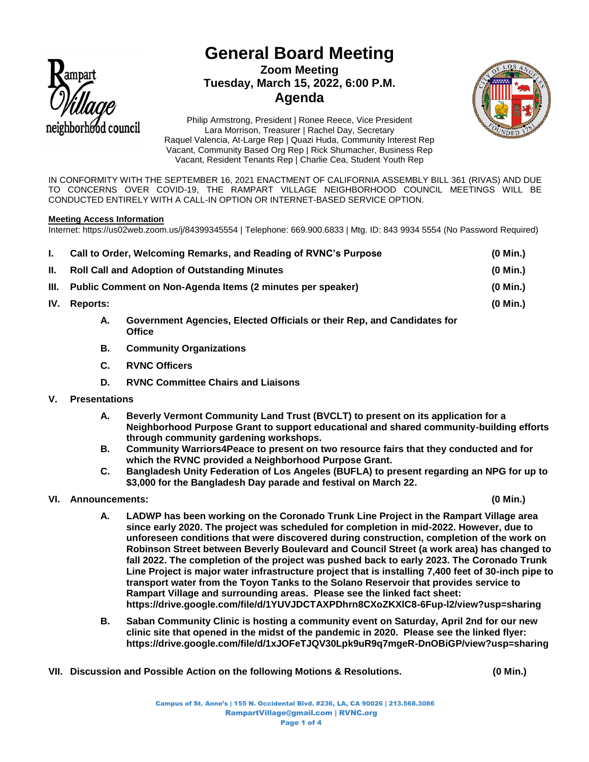

# **General Board Meeting Zoom Meeting Tuesday, March 15, 2022, 6:00 P.M. Agenda**



Philip Armstrong, President | Ronee Reece, Vice President Lara Morrison, Treasurer | Rachel Day, Secretary Raquel Valencia, At-Large Rep | Quazi Huda, Community Interest Rep Vacant, Community Based Org Rep | Rick Shumacher, Business Rep Vacant, Resident Tenants Rep | Charlie Cea, Student Youth Rep

IN CONFORMITY WITH THE SEPTEMBER 16, 2021 ENACTMENT OF CALIFORNIA ASSEMBLY BILL 361 (RIVAS) AND DUE TO CONCERNS OVER COVID-19, THE RAMPART VILLAGE NEIGHBORHOOD COUNCIL MEETINGS WILL BE CONDUCTED ENTIRELY WITH A CALL-IN OPTION OR INTERNET-BASED SERVICE OPTION.

# **Meeting Access Information**

Internet: https://us02web.zoom.us/j/84399345554 | Telephone: 669.900.6833 | Mtg. ID: 843 9934 5554 (No Password Required)

|       | Call to Order, Welcoming Remarks, and Reading of RVNC's Purpose |                                                                                          | $(0$ Min.) |
|-------|-----------------------------------------------------------------|------------------------------------------------------------------------------------------|------------|
| II. - | <b>Roll Call and Adoption of Outstanding Minutes</b>            |                                                                                          | $(0$ Min.) |
|       | III. Public Comment on Non-Agenda Items (2 minutes per speaker) |                                                                                          | $(0$ Min.) |
| IV.   | <b>Reports:</b>                                                 |                                                                                          | $(0$ Min.) |
|       | А.                                                              | Government Agencies, Elected Officials or their Rep, and Candidates for<br><b>Office</b> |            |

- **B. Community Organizations**
- **C. RVNC Officers**
- **D. RVNC Committee Chairs and Liaisons**
- **V. Presentations** 
	- **A. Beverly Vermont Community Land Trust (BVCLT) to present on its application for a Neighborhood Purpose Grant to support educational and shared community-building efforts through community gardening workshops.**
	- **B. Community Warriors4Peace to present on two resource fairs that they conducted and for which the RVNC provided a Neighborhood Purpose Grant.**
	- **C. Bangladesh Unity Federation of Los Angeles (BUFLA) to present regarding an NPG for up to \$3,000 for the Bangladesh Day parade and festival on March 22.**
- **VI. Announcements: (0 Min.)**

- **A. LADWP has been working on the Coronado Trunk Line Project in the Rampart Village area since early 2020. The project was scheduled for completion in mid-2022. However, due to unforeseen conditions that were discovered during construction, completion of the work on Robinson Street between Beverly Boulevard and Council Street (a work area) has changed to fall 2022. The completion of the project was pushed back to early 2023. The Coronado Trunk Line Project is major water infrastructure project that is installing 7,400 feet of 30-inch pipe to transport water from the Toyon Tanks to the Solano Reservoir that provides service to Rampart Village and surrounding areas. Please see the linked fact sheet: https://drive.google.com/file/d/1YUVJDCTAXPDhrn8CXoZKXlC8-6Fup-l2/view?usp=sharing**
- **B. Saban Community Clinic is hosting a community event on Saturday, April 2nd for our new clinic site that opened in the midst of the pandemic in 2020. Please see the linked flyer: https://drive.google.com/file/d/1xJOFeTJQV30Lpk9uR9q7mgeR-DnOBiGP/view?usp=sharing**
- **VII. Discussion and Possible Action on the following Motions & Resolutions. (0 Min.)**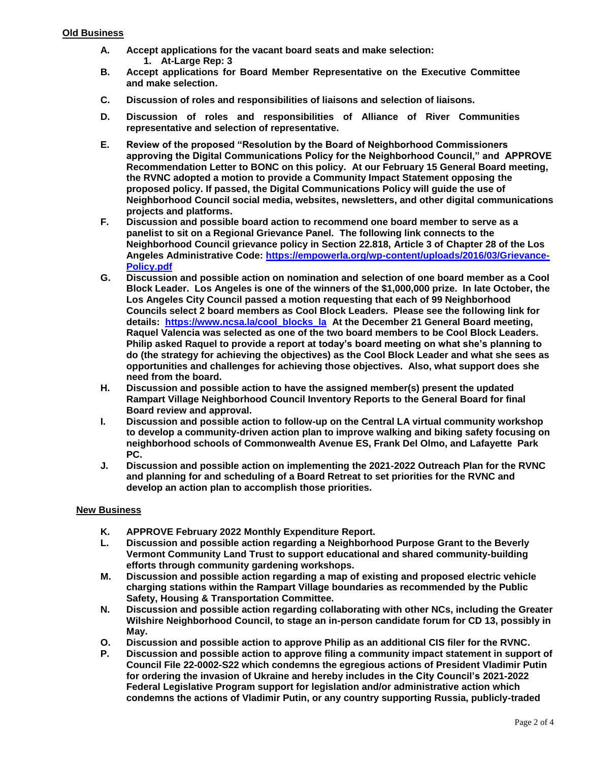- **A. Accept applications for the vacant board seats and make selection: 1. At-Large Rep: 3**
- **B. Accept applications for Board Member Representative on the Executive Committee and make selection.**
- **C. Discussion of roles and responsibilities of liaisons and selection of liaisons.**
- **D. Discussion of roles and responsibilities of Alliance of River Communities representative and selection of representative.**
- **E. Review of the proposed "Resolution by the Board of Neighborhood Commissioners approving the Digital Communications Policy for the Neighborhood Council," and APPROVE Recommendation Letter to BONC on this policy. At our February 15 General Board meeting, the RVNC adopted a motion to provide a Community Impact Statement opposing the proposed policy. If passed, the Digital Communications Policy will guide the use of Neighborhood Council social media, websites, newsletters, and other digital communications projects and platforms.**
- **F. Discussion and possible board action to recommend one board member to serve as a panelist to sit on a Regional Grievance Panel. The following link connects to the Neighborhood Council grievance policy in Section 22.818, Article 3 of Chapter 28 of the Los Angeles Administrative Code: [https://empowerla.org/wp-content/uploads/2016/03/Grievance-](https://empowerla.org/wp-content/uploads/2016/03/Grievance-Policy.pdf)[Policy.pdf](https://empowerla.org/wp-content/uploads/2016/03/Grievance-Policy.pdf)**
- **G. Discussion and possible action on nomination and selection of one board member as a Cool Block Leader. Los Angeles is one of the winners of the \$1,000,000 prize. In late October, the Los Angeles City Council passed a motion requesting that each of 99 Neighborhood Councils select 2 board members as Cool Block Leaders. Please see the following link for details: [https://www.ncsa.la/cool\\_blocks\\_la](https://www.ncsa.la/cool_blocks_la) At the December 21 General Board meeting, Raquel Valencia was selected as one of the two board members to be Cool Block Leaders. Philip asked Raquel to provide a report at today's board meeting on what she's planning to do (the strategy for achieving the objectives) as the Cool Block Leader and what she sees as opportunities and challenges for achieving those objectives. Also, what support does she need from the board.**
- **H. Discussion and possible action to have the assigned member(s) present the updated Rampart Village Neighborhood Council Inventory Reports to the General Board for final Board review and approval.**
- **I. Discussion and possible action to follow-up on the Central LA virtual community workshop to develop a community-driven action plan to improve walking and biking safety focusing on neighborhood schools of Commonwealth Avenue ES, Frank Del Olmo, and Lafayette Park PC.**
- **J. Discussion and possible action on implementing the 2021-2022 Outreach Plan for the RVNC and planning for and scheduling of a Board Retreat to set priorities for the RVNC and develop an action plan to accomplish those priorities.**

# **New Business**

- **K. APPROVE February 2022 Monthly Expenditure Report.**
- **L. Discussion and possible action regarding a Neighborhood Purpose Grant to the Beverly Vermont Community Land Trust to support educational and shared community-building efforts through community gardening workshops.**
- **M. Discussion and possible action regarding a map of existing and proposed electric vehicle charging stations within the Rampart Village boundaries as recommended by the Public Safety, Housing & Transportation Committee.**
- **N. Discussion and possible action regarding collaborating with other NCs, including the Greater Wilshire Neighborhood Council, to stage an in-person candidate forum for CD 13, possibly in May.**
- **O. Discussion and possible action to approve Philip as an additional CIS filer for the RVNC.**
- **P. Discussion and possible action to approve filing a community impact statement in support of Council File 22-0002-S22 which condemns the egregious actions of President Vladimir Putin for ordering the invasion of Ukraine and hereby includes in the City Council's 2021-2022 Federal Legislative Program support for legislation and/or administrative action which condemns the actions of Vladimir Putin, or any country supporting Russia, publicly-traded**